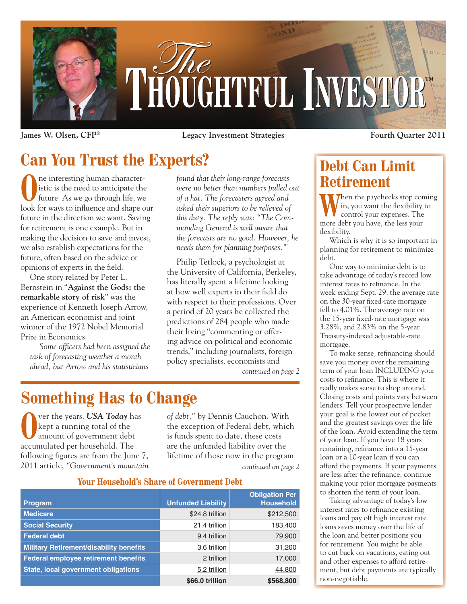

**James W. Olsen, CFP® Legacy Investment Strategies**

**Fourth Quarter 2011**

# **Can You Trust the Experts?**

**O**ne interesting human characteristic is the need to anticipate the future. As we go through life, we istic is the need to anticipate the look for ways to influence and shape our future in the direction we want. Saving for retirement is one example. But in making the decision to save and invest, we also establish expectations for the future, often based on the advice or opinions of experts in the field.

One story related by Peter L. Bernstein in "**Against the Gods: the remarkable story of risk**" was the experience of Kenneth Joseph Arrow, an American economist and joint winner of the 1972 Nobel Memorial Prize in Economics.

*Some officers had been assigned the task of forecasting weather a month ahead, but Arrow and his statisticians* 

*found that their long-range forecasts were no better than numbers pulled out of a hat. The forecasters agreed and asked their superiors to be relieved of this duty. The reply was: "The Commanding General is well aware that the forecasts are no good. However, he needs them for planning purposes."*<sup>1</sup>

Philip Tetlock, a psychologist at the University of California, Berkeley, has literally spent a lifetime looking at how well experts in their field do with respect to their professions. Over a period of 20 years he collected the predictions of 284 people who made their living "commenting or offering advice on political and economic trends," including journalists, foreign policy specialists, economists and

*continued on page 2*

# **Something Has to Change**

**O**ver the years, *USA Today* has kept a running total of the amount of government debt kept a running total of the accumulated per household. The following figures are from the June 7, 2011 article, *"Government's mountain*  *of debt,"* by Dennis Cauchon. With the exception of Federal debt, which is funds spent to date, these costs are the unfunded liability over the lifetime of those now in the program *continued on page 2*

### **Your Household's Share of Government Debt**

| Tuut muusenunt s onare of uuverminent peat     |                           |                                           |
|------------------------------------------------|---------------------------|-------------------------------------------|
| <b>Program</b>                                 | <b>Unfunded Liability</b> | <b>Obligation Per</b><br><b>Household</b> |
| <b>Medicare</b>                                | \$24.8 trillion           | \$212,500                                 |
| <b>Social Security</b>                         | 21.4 trillion             | 183,400                                   |
| <b>Federal debt</b>                            | 9.4 trillion              | 79,900                                    |
| <b>Military Retirement/disability benefits</b> | 3.6 trillion              | 31,200                                    |
| Federal employee retirement benefits           | 2 trillion                | 17,000                                    |
| <b>State, local government obligations</b>     | 5.2 trillion              | 44,800                                    |
|                                                | \$66.0 trillion           | \$568,800                                 |

## **Debt Can Limit Retirement**

**Then** the paychecks stop coming in, you want the flexibility to control your expenses. The more debt you have, the less your flexibility.

Which is why it is so important in planning for retirement to minimize debt.

One way to minimize debt is to take advantage of today's record low interest rates to refinance. In the week ending Sept. 29, the average rate on the 30-year fixed-rate mortgage fell to 4.01%. The average rate on the 15-year fixed-rate mortgage was 3.28%, and 2.83% on the 5-year Treasury-indexed adjustable-rate mortgage.

To make sense, refinancing should save you money over the remaining term of your loan INCLUDING your costs to refinance. This is where it really makes sense to shop around. Closing costs and points vary between lenders. Tell your prospective lender your goal is the lowest out of pocket and the greatest savings over the life of the loan. Avoid extending the term of your loan. If you have 18 years remaining, refinance into a 15-year loan or a 10-year loan if you can afford the payments. If your payments are less after the refinance, continue making your prior mortgage payments to shorten the term of your loan.

Taking advantage of today's low interest rates to refinance existing loans and pay off high interest rate loans saves money over the life of the loan and better positions you for retirement. You might be able to cut back on vacations, eating out and other expenses to afford retirement, but debt payments are typically non-negotiable.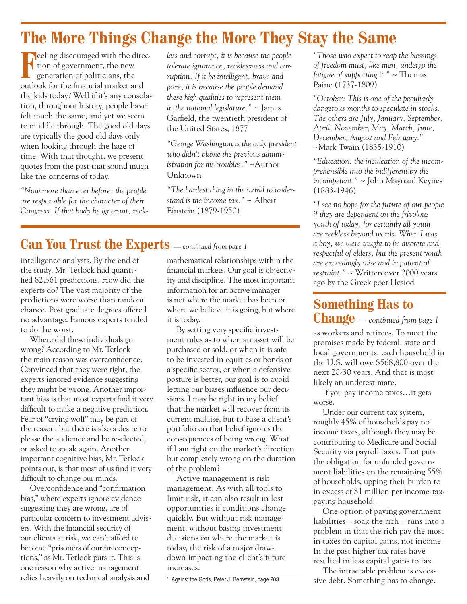## **The More Things Change the More They Stay the Same**

**Feeling discouraged with the direction of government, the new generation of politicians, the** tion of government, the new generation of politicians, the outlook for the financial market and the kids today? Well if it's any consolation, throughout history, people have felt much the same, and yet we seem to muddle through. The good old days are typically the good old days only when looking through the haze of time. With that thought, we present quotes from the past that sound much like the concerns of today.

*"Now more than ever before, the people are responsible for the character of their Congress. If that body be ignorant, reck-* *less and corrupt, it is because the people tolerate ignorance, recklessness and corruption. If it be intelligent, brave and pure, it is because the people demand these high qualities to represent them in the national legislature."* ~ James Garfield, the twentieth president of the United States, 1877

*"George Washington is the only president who didn't blame the previous administration for his troubles."* ~Author Unknown

*"The hardest thing in the world to understand is the income tax."* ~ Albert Einstein (1879-1950)

### **Can You Trust the Experts** *— continued from page 1*

intelligence analysts. By the end of the study, Mr. Tetlock had quantified 82,361 predictions. How did the experts do? The vast majority of the predictions were worse than random chance. Post graduate degrees offered no advantage. Famous experts tended to do the worst.

Where did these individuals go wrong? According to Mr. Tetlock the main reason was overconfidence. Convinced that they were right, the experts ignored evidence suggesting they might be wrong. Another important bias is that most experts find it very difficult to make a negative prediction. Fear of "crying wolf" may be part of the reason, but there is also a desire to please the audience and be re-elected, or asked to speak again. Another important cognitive bias, Mr. Tetlock points out, is that most of us find it very difficult to change our minds.

Overconfidence and "confirmation bias," where experts ignore evidence suggesting they are wrong, are of particular concern to investment advisers. With the financial security of our clients at risk, we can't afford to become "prisoners of our preconceptions," as Mr. Tetlock puts it. This is one reason why active management relies heavily on technical analysis and

mathematical relationships within the financial markets. Our goal is objectivity and discipline. The most important information for an active manager is not where the market has been or where we believe it is going, but where it is today.

By setting very specific investment rules as to when an asset will be purchased or sold, or when it is safe to be invested in equities or bonds or a specific sector, or when a defensive posture is better, our goal is to avoid letting our biases influence our decisions. I may be right in my belief that the market will recover from its current malaise, but to base a client's portfolio on that belief ignores the consequences of being wrong. What if I am right on the market's direction but completely wrong on the duration of the problem?

Active management is risk management. As with all tools to limit risk, it can also result in lost opportunities if conditions change quickly. But without risk management, without basing investment decisions on where the market is today, the risk of a major drawdown impacting the client's future increases.

<sup>1</sup> Against the Gods, Peter J. Bernstein, page 203.

*"Those who expect to reap the blessings of freedom must, like men, undergo the fatigue of supporting it." ~* Thomas Paine (1737-1809)

*"October: This is one of the peculiarly dangerous months to speculate in stocks. The others are July, January, September, April, November, May, March, June, December, August and February."* ~Mark Twain (1835-1910)

*"Education: the inculcation of the incomprehensible into the indifferent by the incompetent." ~* John Maynard Keynes (1883-1946)

*"I see no hope for the future of our people if they are dependent on the frivolous youth of today, for certainly all youth are reckless beyond words. When I was a boy, we were taught to be discrete and respectful of elders, but the present youth are exceedingly wise and impatient of restraint." ~* Written over 2000 years ago by the Greek poet Hesiod

### **Something Has to Change** *— continued from page 1*

as workers and retirees. To meet the promises made by federal, state and local governments, each household in the U.S. will owe \$568,800 over the next 20-30 years. And that is most likely an underestimate.

If you pay income taxes…it gets worse.

Under our current tax system, roughly 45% of households pay no income taxes, although they may be contributing to Medicare and Social Security via payroll taxes. That puts the obligation for unfunded government liabilities on the remaining 55% of households, upping their burden to in excess of \$1 million per income-taxpaying household.

One option of paying government liabilities – soak the rich – runs into a problem in that the rich pay the most in taxes on capital gains, not income. In the past higher tax rates have resulted in less capital gains to tax.

The intractable problem is excessive debt. Something has to change.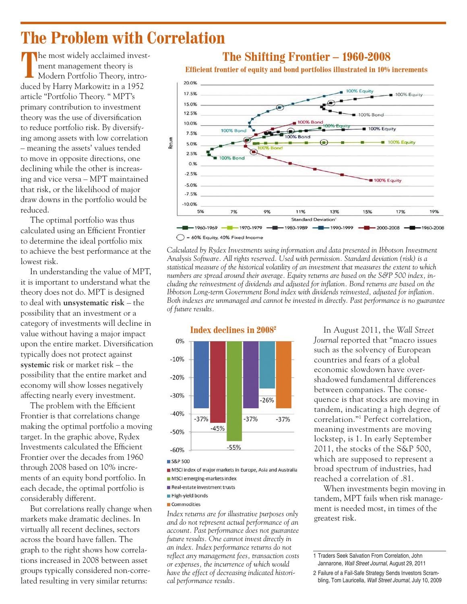## **The Problem with Correlation**

**T** The most widely acclaimed investment management theory is Modern Portfolio Theory, introduced by Harry Markowitz in a 1952 article "Portfolio Theory. " MPT's primary contribution to investment theory was the use of diversification to reduce portfolio risk. By diversifying among assets with low correlation – meaning the assets' values tended to move in opposite directions, one declining while the other is increasing and vice versa – MPT maintained that risk, or the likelihood of major draw downs in the portfolio would be reduced.

The optimal portfolio was thus calculated using an Efficient Frontier to determine the ideal portfolio mix to achieve the best performance at the lowest risk.

In understanding the value of MPT, it is important to understand what the theory does not do. MPT is designed to deal with **unsystematic risk** – the possibility that an investment or a category of investments will decline in value without having a major impact upon the entire market. Diversification typically does not protect against **systemic** risk or market risk – the possibility that the entire market and economy will show losses negatively affecting nearly every investment.

The problem with the Efficient Frontier is that correlations change making the optimal portfolio a moving target. In the graphic above, Rydex Investments calculated the Efficient Frontier over the decades from 1960 through 2008 based on 10% increments of an equity bond portfolio. In each decade, the optimal portfolio is considerably different.

But correlations really change when markets make dramatic declines. In virtually all recent declines, sectors across the board have fallen. The graph to the right shows how correlations increased in 2008 between asset groups typically considered non-correlated resulting in very similar returns:

### **The Shifting Frontier – 1960-2008**

**Efficient frontier of equity and bond portfolios illustrated in 10% increments**



*Calculated by Rydex Investments using information and data presented in Ibbotson Investment Analysis Software. All rights reserved. Used with permission. Standard deviation (risk) is a statistical measure of the historical volatility of an investment that measures the extent to which numbers are spread around their average. Equity returns are based on the S&P 500 index, including the reinvestment of dividends and adjusted for inflation. Bond returns are based on the Ibbotson Long-term Government Bond index with dividends reinvested, adjusted for inflation. Both indexes are unmanaged and cannot be invested in directly. Past performance is no guarantee of future results.*



S&P 500

MSCI index of major markets in Europe, Asia and Australia

- MSCI emerging-markets index
- Real-estate investment trusts
- High-yield bonds
- Commodities

*Index returns are for illustrative purposes only and do not represent actual performance of an account. Past performance does not guarantee future results. One cannot invest directly in an index. Index performance returns do not reflect any management fees, transaction costs or expenses, the incurrence of which would have the effect of decreasing indicated historical performance results.*

In August 2011, the *Wall Street Journal* reported that "macro issues such as the solvency of European countries and fears of a global economic slowdown have overshadowed fundamental differences between companies. The consequence is that stocks are moving in tandem, indicating a high degree of correlation."1 Perfect correlation, meaning investments are moving lockstep, is 1. In early September 2011, the stocks of the S&P 500, which are supposed to represent a broad spectrum of industries, had reached a correlation of .81.

When investments begin moving in tandem, MPT fails when risk management is needed most, in times of the greatest risk.

<sup>1</sup> Traders Seek Salvation From Correlation, John Jannarone, Wall Street Journal, August 29, 2011

<sup>2</sup> Failure of a Fail-Safe Strategy Sends Investors Scrambling, Tom Lauricella, Wall Street Journal, July 10, 2009